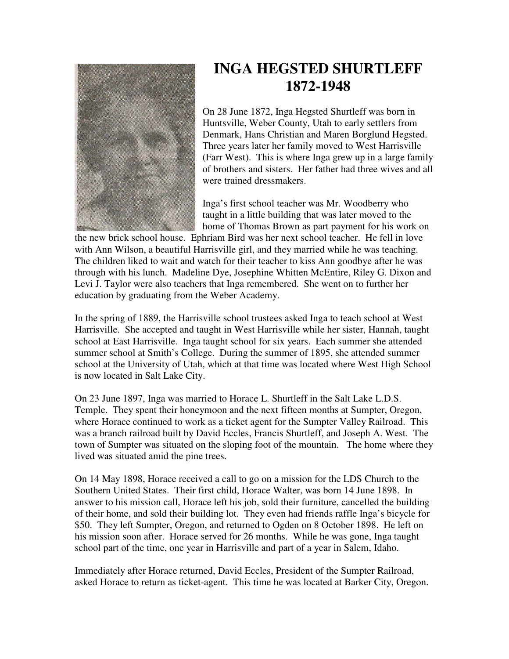

## **INGA HEGSTED SHURTLEFF 1872-1948**

On 28 June 1872, Inga Hegsted Shurtleff was born in Huntsville, Weber County, Utah to early settlers from Denmark, Hans Christian and Maren Borglund Hegsted. Three years later her family moved to West Harrisville (Farr West). This is where Inga grew up in a large family of brothers and sisters. Her father had three wives and all were trained dressmakers.

Inga's first school teacher was Mr. Woodberry who taught in a little building that was later moved to the home of Thomas Brown as part payment for his work on

the new brick school house. Ephriam Bird was her next school teacher. He fell in love with Ann Wilson, a beautiful Harrisville girl, and they married while he was teaching. The children liked to wait and watch for their teacher to kiss Ann goodbye after he was through with his lunch. Madeline Dye, Josephine Whitten McEntire, Riley G. Dixon and Levi J. Taylor were also teachers that Inga remembered. She went on to further her education by graduating from the Weber Academy.

In the spring of 1889, the Harrisville school trustees asked Inga to teach school at West Harrisville. She accepted and taught in West Harrisville while her sister, Hannah, taught school at East Harrisville. Inga taught school for six years. Each summer she attended summer school at Smith's College. During the summer of 1895, she attended summer school at the University of Utah, which at that time was located where West High School is now located in Salt Lake City.

On 23 June 1897, Inga was married to Horace L. Shurtleff in the Salt Lake L.D.S. Temple. They spent their honeymoon and the next fifteen months at Sumpter, Oregon, where Horace continued to work as a ticket agent for the Sumpter Valley Railroad. This was a branch railroad built by David Eccles, Francis Shurtleff, and Joseph A. West. The town of Sumpter was situated on the sloping foot of the mountain. The home where they lived was situated amid the pine trees.

On 14 May 1898, Horace received a call to go on a mission for the LDS Church to the Southern United States. Their first child, Horace Walter, was born 14 June 1898. In answer to his mission call, Horace left his job, sold their furniture, cancelled the building of their home, and sold their building lot. They even had friends raffle Inga's bicycle for \$50. They left Sumpter, Oregon, and returned to Ogden on 8 October 1898. He left on his mission soon after. Horace served for 26 months. While he was gone, Inga taught school part of the time, one year in Harrisville and part of a year in Salem, Idaho.

Immediately after Horace returned, David Eccles, President of the Sumpter Railroad, asked Horace to return as ticket-agent. This time he was located at Barker City, Oregon.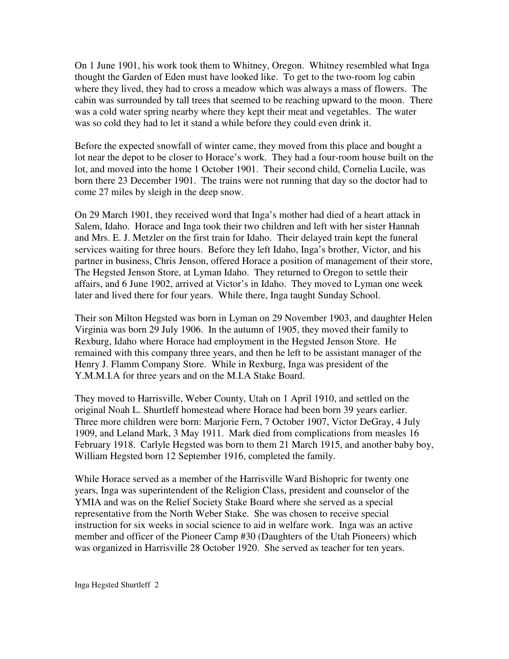On 1 June 1901, his work took them to Whitney, Oregon. Whitney resembled what Inga thought the Garden of Eden must have looked like. To get to the two-room log cabin where they lived, they had to cross a meadow which was always a mass of flowers. The cabin was surrounded by tall trees that seemed to be reaching upward to the moon. There was a cold water spring nearby where they kept their meat and vegetables. The water was so cold they had to let it stand a while before they could even drink it.

Before the expected snowfall of winter came, they moved from this place and bought a lot near the depot to be closer to Horace's work. They had a four-room house built on the lot, and moved into the home 1 October 1901. Their second child, Cornelia Lucile, was born there 23 December 1901. The trains were not running that day so the doctor had to come 27 miles by sleigh in the deep snow.

On 29 March 1901, they received word that Inga's mother had died of a heart attack in Salem, Idaho. Horace and Inga took their two children and left with her sister Hannah and Mrs. E. J. Metzler on the first train for Idaho. Their delayed train kept the funeral services waiting for three hours. Before they left Idaho, Inga's brother, Victor, and his partner in business, Chris Jenson, offered Horace a position of management of their store, The Hegsted Jenson Store, at Lyman Idaho. They returned to Oregon to settle their affairs, and 6 June 1902, arrived at Victor's in Idaho. They moved to Lyman one week later and lived there for four years. While there, Inga taught Sunday School.

Their son Milton Hegsted was born in Lyman on 29 November 1903, and daughter Helen Virginia was born 29 July 1906. In the autumn of 1905, they moved their family to Rexburg, Idaho where Horace had employment in the Hegsted Jenson Store. He remained with this company three years, and then he left to be assistant manager of the Henry J. Flamm Company Store. While in Rexburg, Inga was president of the Y.M.M.I.A for three years and on the M.I.A Stake Board.

They moved to Harrisville, Weber County, Utah on 1 April 1910, and settled on the original Noah L. Shurtleff homestead where Horace had been born 39 years earlier. Three more children were born: Marjorie Fern, 7 October 1907, Victor DeGray, 4 July 1909, and Leland Mark, 3 May 1911. Mark died from complications from measles 16 February 1918. Carlyle Hegsted was born to them 21 March 1915, and another baby boy, William Hegsted born 12 September 1916, completed the family.

While Horace served as a member of the Harrisville Ward Bishopric for twenty one years, Inga was superintendent of the Religion Class, president and counselor of the YMIA and was on the Relief Society Stake Board where she served as a special representative from the North Weber Stake. She was chosen to receive special instruction for six weeks in social science to aid in welfare work. Inga was an active member and officer of the Pioneer Camp #30 (Daughters of the Utah Pioneers) which was organized in Harrisville 28 October 1920. She served as teacher for ten years.